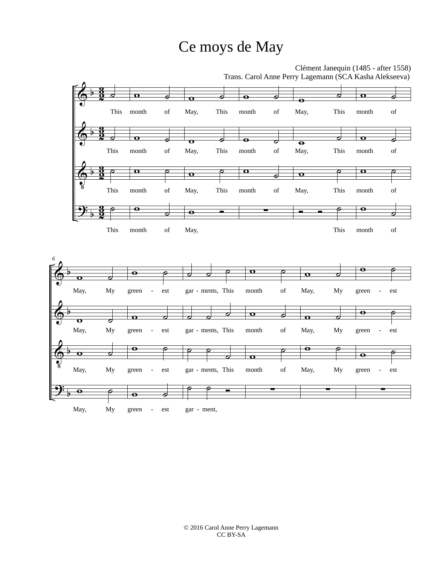## Ce moys de May

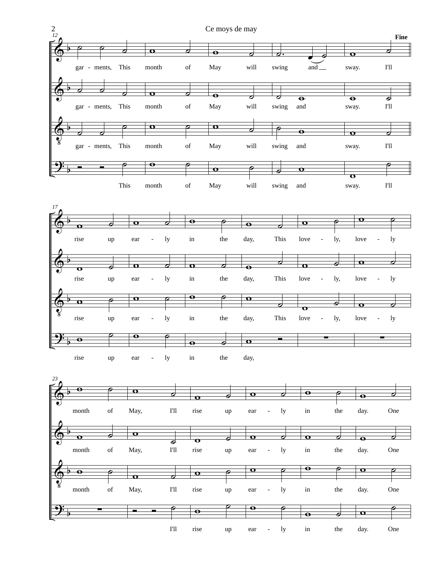